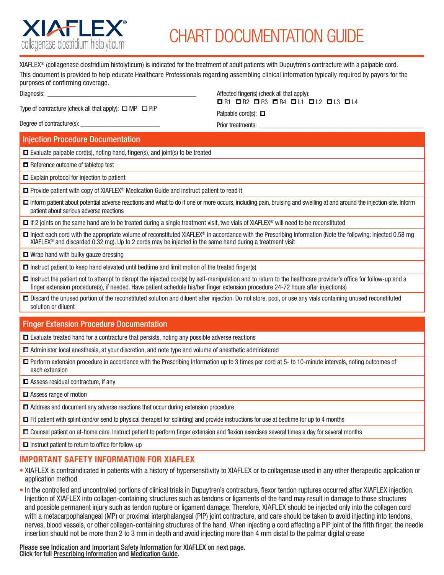

## CHART DOCUMENTATION GUIDE

XIAFLEX® (collagenase clostridium histolyticum) is indicated for the treatment of adult patients with Dupuytren's contracture with a palpable cord. This document is provided to help educate Healthcare Professionals regarding assembling clinical information typically required by payors for the purposes of confirming coverage.

Diagnosis:

Type of contracture (check all that apply):  $\Box$  MP  $\Box$  PIP

Affected finger(s) (check all that apply): o R1 o R2 o R3 o R4 o L1 o L2 o L3 o L4

Palpable cord(s):  $\Box$ Prior treatments:

Degree of contracture(s):

Injection Procedure Documentation

 $\Box$  Evaluate palpable cord(s), noting hand, finger(s), and joint(s) to be treated

 $\Box$  Reference outcome of tabletop test

 $\Box$  Explain protocol for injection to patient

 $\Box$  Provide patient with copy of XIAFLEX<sup>®</sup> Medication Guide and instruct patient to read it

□ Inform patient about potential adverse reactions and what to do if one or more occurs, including pain, bruising and swelling at and around the injection site. Inform patient about serious adverse reactions

 $\Box$  If 2 joints on the same hand are to be treated during a single treatment visit, two vials of XIAFLEX<sup>®</sup> will need to be reconstituted

 $\Box$  Inject each cord with the appropriate volume of reconstituted XIAFLEX® in accordance with the Prescribing Information (Note the following: Injected 0.58 mg XIAFLEX® and discarded 0.32 mg). Up to 2 cords may be injected in the same hand during a treatment visit

 $\Box$  Wrap hand with bulky gauze dressing

- $\Box$  Instruct patient to keep hand elevated until bedtime and limit motion of the treated finger(s)
- □ Instruct the patient not to attempt to disrupt the injected cord(s) by self-manipulation and to return to the healthcare provider's office for follow-up and a finger extension procedure(s), if needed. Have patient schedule his/her finger extension procedure 24-72 hours after injection(s)
- $\square$  Discard the unused portion of the reconstituted solution and diluent after injection. Do not store, pool, or use any vials containing unused reconstituted solution or diluent

## Finger Extension Procedure Documentation

 $\Box$  Evaluate treated hand for a contracture that persists, noting any possible adverse reactions

- $\Box$  Administer local anesthesia, at your discretion, and note type and volume of anesthetic administered
- □ Perform extension procedure in accordance with the Prescribing Information up to 3 times per cord at 5- to 10-minute intervals, noting outcomes of each extension
- $\Box$  Assess residual contracture, if any
- $\Box$  Assess range of motion
- $\Box$  Address and document any adverse reactions that occur during extension procedure

 $\Box$  Fit patient with splint (and/or send to physical therapist for splinting) and provide instructions for use at bedtime for up to 4 months

 $\Box$  Counsel patient on at-home care. Instruct patient to perform finger extension and flexion exercises several times a day for several months

 $\square$  Instruct patient to return to office for follow-up

## IMPORTANT SAFETY INFORMATION FOR XIAFLEX

- XIAFLEX is contraindicated in patients with a history of hypersensitivity to XIAFLEX or to collagenase used in any other therapeutic application or application method
- In the controlled and uncontrolled portions of clinical trials in Dupuytren's contracture, flexor tendon ruptures occurred after XIAFLEX injection. Injection of XIAFLEX into collagen-containing structures such as tendons or ligaments of the hand may result in damage to those structures and possible permanent injury such as tendon rupture or ligament damage. Therefore, XIAFLEX should be injected only into the collagen cord with a metacarpophalangeal (MP) or proximal interphalangeal (PIP) joint contracture, and care should be taken to avoid injecting into tendons, nerves, blood vessels, or other collagen-containing structures of the hand. When injecting a cord affecting a PIP joint of the fifth finger, the needle insertion should not be more than 2 to 3 mm in depth and avoid injecting more than 4 mm distal to the palmar digital crease

Please see Indication and Important Safety Information for XIAFLEX on next page. Click for full [Prescribing Information](https://endodocuments.com/XIAFLEX/PI) and [Medication Guide.](https://endodocuments.com/XIAFLEX/MG)